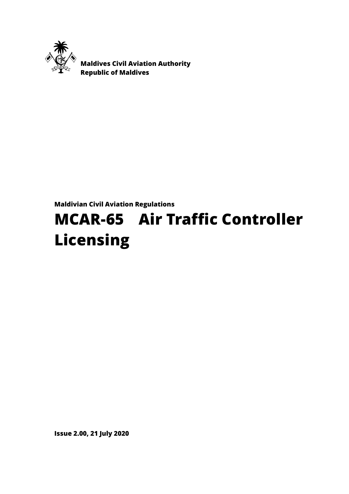

 **Maldives Civil Aviation Authority Republic of Maldives**

# **Maldivian Civil Aviation Regulations**

# **MCAR-65 Air Traffic Controller Licensing**

**Issue 2.00, 21 July 2020**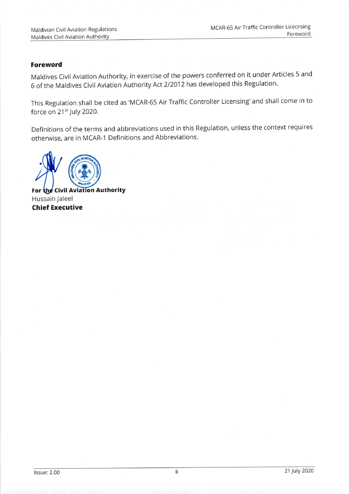#### Foreword

Maldives Civil Aviation Authority, in exercise of the powers conferred on it under Articles 5 and 6 of the Maldives Civil Aviation Authority Act 2/2012 has developed this Regulation.

This Regulation shall be cited as'MCAR-65 Air Traffic Controller Licensing'and shall come in to force on  $21^{st}$  July 2020.

Definitions of the terms and abbreviations used in this Regulation, unless the context requires otherwise, are in MCAR-1 Definitions and Abbreviations.



For the Civil Aviation Authority Hussain Jaleel Chief Executive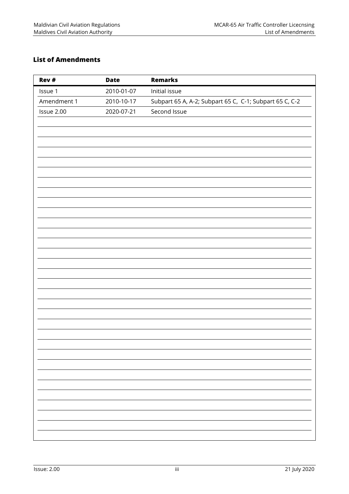# <span id="page-2-0"></span>**List of Amendments**

| Rev #       | <b>Date</b> | <b>Remarks</b>                                          |
|-------------|-------------|---------------------------------------------------------|
| Issue 1     | 2010-01-07  | Initial issue                                           |
| Amendment 1 | 2010-10-17  | Subpart 65 A, A-2; Subpart 65 C, C-1; Subpart 65 C, C-2 |
| Issue 2.00  | 2020-07-21  | Second Issue                                            |
|             |             |                                                         |
|             |             |                                                         |
|             |             |                                                         |
|             |             |                                                         |
|             |             |                                                         |
|             |             |                                                         |
|             |             |                                                         |
|             |             |                                                         |
|             |             |                                                         |
|             |             |                                                         |
|             |             |                                                         |
|             |             |                                                         |
|             |             |                                                         |
|             |             |                                                         |
|             |             |                                                         |
|             |             |                                                         |
|             |             |                                                         |
|             |             |                                                         |
|             |             |                                                         |
|             |             |                                                         |
|             |             |                                                         |
|             |             |                                                         |
|             |             |                                                         |
|             |             |                                                         |
|             |             |                                                         |
|             |             |                                                         |
|             |             |                                                         |
|             |             |                                                         |
|             |             |                                                         |
|             |             |                                                         |
|             |             |                                                         |
|             |             |                                                         |
|             |             |                                                         |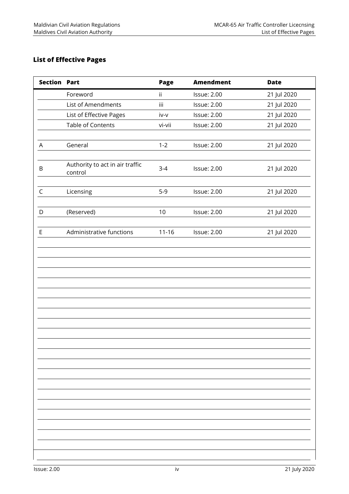# <span id="page-3-0"></span>**List of Effective Pages**

| <b>Section Part</b> |                                            | Page      | <b>Amendment</b>   | <b>Date</b> |
|---------------------|--------------------------------------------|-----------|--------------------|-------------|
|                     | Foreword                                   | ii.       | <b>Issue: 2.00</b> | 21 Jul 2020 |
|                     | List of Amendments                         | iii       | <b>Issue: 2.00</b> | 21 Jul 2020 |
|                     | List of Effective Pages                    | iv-v      | <b>Issue: 2.00</b> | 21 Jul 2020 |
|                     | Table of Contents                          | vi-vii    | <b>Issue: 2.00</b> | 21 Jul 2020 |
| A                   | General                                    | $1 - 2$   | <b>Issue: 2.00</b> | 21 Jul 2020 |
| B                   | Authority to act in air traffic<br>control | $3-4$     | <b>Issue: 2.00</b> | 21 Jul 2020 |
| $\mathsf C$         | Licensing                                  | $5-9$     | <b>Issue: 2.00</b> | 21 Jul 2020 |
| D                   | (Reserved)                                 | 10        | <b>Issue: 2.00</b> | 21 Jul 2020 |
| $\mathsf E$         | Administrative functions                   | $11 - 16$ | <b>Issue: 2.00</b> | 21 Jul 2020 |
|                     |                                            |           |                    |             |
|                     |                                            |           |                    |             |
|                     |                                            |           |                    |             |
|                     |                                            |           |                    |             |
|                     |                                            |           |                    |             |
|                     |                                            |           |                    |             |
|                     |                                            |           |                    |             |
|                     |                                            |           |                    |             |
|                     |                                            |           |                    |             |
|                     |                                            |           |                    |             |
|                     |                                            |           |                    |             |
|                     |                                            |           |                    |             |
|                     |                                            |           |                    |             |
|                     |                                            |           |                    |             |
|                     |                                            |           |                    |             |
|                     |                                            |           |                    |             |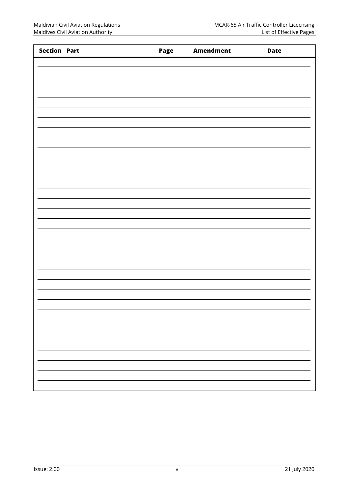| <b>Section Part</b> | Page | <b>Amendment</b> | <b>Date</b> |
|---------------------|------|------------------|-------------|
|                     |      |                  |             |
|                     |      |                  |             |
|                     |      |                  |             |
|                     |      |                  |             |
|                     |      |                  |             |
|                     |      |                  |             |
|                     |      |                  |             |
|                     |      |                  |             |
|                     |      |                  |             |
|                     |      |                  |             |
|                     |      |                  |             |
|                     |      |                  |             |
|                     |      |                  |             |
|                     |      |                  |             |
|                     |      |                  |             |
|                     |      |                  |             |
|                     |      |                  |             |
|                     |      |                  |             |
|                     |      |                  |             |
|                     |      |                  |             |
|                     |      |                  |             |
|                     |      |                  |             |
|                     |      |                  |             |
|                     |      |                  |             |
|                     |      |                  |             |
|                     |      |                  |             |
|                     |      |                  |             |
|                     |      |                  |             |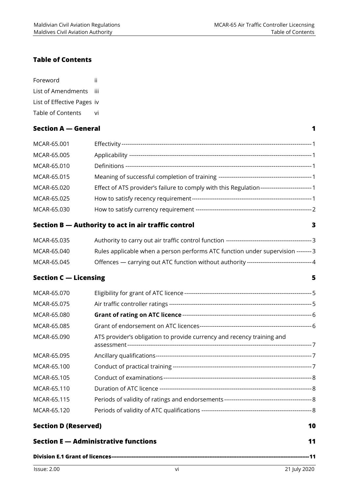#### <span id="page-5-0"></span>**Table of Contents**

| Foreword                   | Ħ  |
|----------------------------|----|
| List of Amendments         | Ш  |
| List of Effective Pages iv |    |
| Table of Contents          | vi |

# **[Section A](#page-7-0) — General 1**

| MCAR-65.001 |  |
|-------------|--|
| MCAR-65.005 |  |
| MCAR-65.010 |  |
| MCAR-65.015 |  |
| MCAR-65.020 |  |
| MCAR-65.025 |  |
| MCAR-65.030 |  |
|             |  |

### **Section B — [Authority to act in air traffic control](#page-9-0) 3**

| MCAR-65.035 | Authority to carry out air traffic control function -----------------------------------<br>------- २ |
|-------------|------------------------------------------------------------------------------------------------------|
| MCAR-65.040 | Rules applicable when a person performs ATC function under supervision --------3                     |
| MCAR-65.045 |                                                                                                      |

## **[Section C](#page-11-0) — Licensing 5**

| MCAR-65.070 |                                                                        |  |
|-------------|------------------------------------------------------------------------|--|
| MCAR-65.075 |                                                                        |  |
| MCAR-65.080 |                                                                        |  |
| MCAR-65.085 |                                                                        |  |
| MCAR-65.090 | ATS provider's obligation to provide currency and recency training and |  |
| MCAR-65.095 |                                                                        |  |
| MCAR-65.100 |                                                                        |  |
| MCAR-65.105 |                                                                        |  |
| MCAR-65.110 |                                                                        |  |
| MCAR-65.115 |                                                                        |  |
| MCAR-65.120 |                                                                        |  |
|             |                                                                        |  |

# **[Section D \(Reserved\)](#page-16-0) 10**

| Section E — Administrative functions |  |
|--------------------------------------|--|
|                                      |  |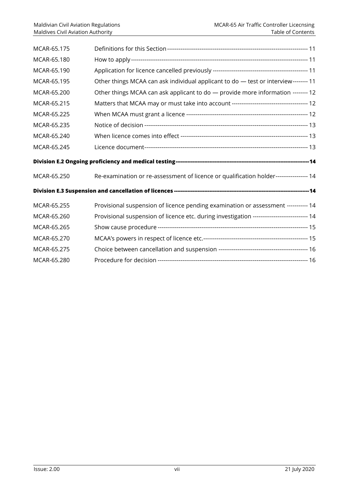| MCAR-65.175 |                                                                                             |  |
|-------------|---------------------------------------------------------------------------------------------|--|
| MCAR-65.180 |                                                                                             |  |
| MCAR-65.190 |                                                                                             |  |
| MCAR-65.195 | Other things MCAA can ask individual applicant to do - test or interview-------- 11         |  |
| MCAR-65.200 | Other things MCAA can ask applicant to do - provide more information -------- 12            |  |
| MCAR-65.215 |                                                                                             |  |
| MCAR-65.225 |                                                                                             |  |
| MCAR-65.235 |                                                                                             |  |
| MCAR-65.240 |                                                                                             |  |
| MCAR-65.245 |                                                                                             |  |
|             |                                                                                             |  |
|             |                                                                                             |  |
| MCAR-65.250 | Re-examination or re-assessment of licence or qualification holder----------------- 14      |  |
|             |                                                                                             |  |
| MCAR-65.255 | Provisional suspension of licence pending examination or assessment ----------- 14          |  |
| MCAR-65.260 | Provisional suspension of licence etc. during investigation ---------------------------- 14 |  |
| MCAR-65.265 |                                                                                             |  |
| MCAR-65.270 |                                                                                             |  |
| MCAR-65.275 |                                                                                             |  |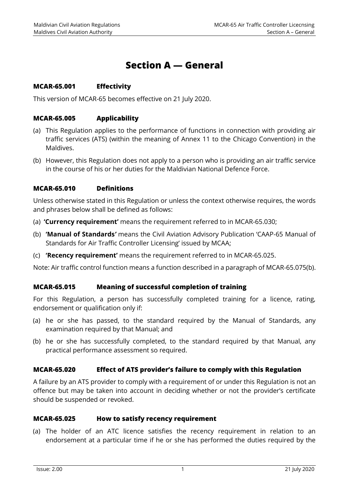# **Section A — General**

#### <span id="page-7-1"></span><span id="page-7-0"></span>**MCAR-65.001 Effectivity**

<span id="page-7-2"></span>This version of MCAR-65 becomes effective on 21 July 2020.

#### **MCAR-65.005 Applicability**

- (a) This Regulation applies to the performance of functions in connection with providing air traffic services (ATS) (within the meaning of Annex 11 to the Chicago Convention) in the Maldives.
- (b) However, this Regulation does not apply to a person who is providing an air traffic service in the course of his or her duties for the Maldivian National Defence Force.

#### <span id="page-7-3"></span>**MCAR-65.010 Definitions**

Unless otherwise stated in this Regulation or unless the context otherwise requires, the words and phrases below shall be defined as follows:

- (a) **'Currency requirement'** means the requirement referred to in MCAR-65.030;
- (b) **'Manual of Standards***'* means the Civil Aviation Advisory Publication 'CAAP-65 Manual of Standards for Air Traffic Controller Licensing' issued by MCAA;
- (c) **'Recency requirement'** means the requirement referred to in MCAR-65.025.

Note: Air traffic control function means a function described in a paragraph of MCAR-65.075(b).

#### <span id="page-7-4"></span>**MCAR-65.015 Meaning of successful completion of training**

For this Regulation, a person has successfully completed training for a licence, rating, endorsement or qualification only if:

- (a) he or she has passed, to the standard required by the Manual of Standards, any examination required by that Manual; and
- (b) he or she has successfully completed, to the standard required by that Manual, any practical performance assessment so required.

#### <span id="page-7-5"></span>**MCAR-65.020 Effect of ATS provider's failure to comply with this Regulation**

A failure by an ATS provider to comply with a requirement of or under this Regulation is not an offence but may be taken into account in deciding whether or not the provider's certificate should be suspended or revoked.

#### <span id="page-7-6"></span>**MCAR-65.025 How to satisfy recency requirement**

(a) The holder of an ATC licence satisfies the recency requirement in relation to an endorsement at a particular time if he or she has performed the duties required by the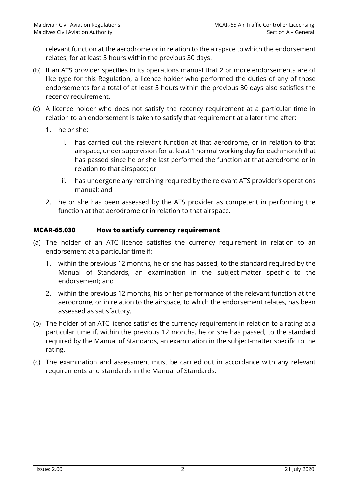relevant function at the aerodrome or in relation to the airspace to which the endorsement relates, for at least 5 hours within the previous 30 days.

- (b) If an ATS provider specifies in its operations manual that 2 or more endorsements are of like type for this Regulation, a licence holder who performed the duties of any of those endorsements for a total of at least 5 hours within the previous 30 days also satisfies the recency requirement.
- (c) A licence holder who does not satisfy the recency requirement at a particular time in relation to an endorsement is taken to satisfy that requirement at a later time after:
	- 1. he or she:
		- i. has carried out the relevant function at that aerodrome, or in relation to that airspace, under supervision for at least 1 normal working day for each month that has passed since he or she last performed the function at that aerodrome or in relation to that airspace; or
		- ii. has undergone any retraining required by the relevant ATS provider's operations manual; and
	- 2. he or she has been assessed by the ATS provider as competent in performing the function at that aerodrome or in relation to that airspace.

#### <span id="page-8-0"></span>**MCAR-65.030 How to satisfy currency requirement**

- (a) The holder of an ATC licence satisfies the currency requirement in relation to an endorsement at a particular time if:
	- 1. within the previous 12 months, he or she has passed, to the standard required by the Manual of Standards, an examination in the subject-matter specific to the endorsement; and
	- 2. within the previous 12 months, his or her performance of the relevant function at the aerodrome, or in relation to the airspace, to which the endorsement relates, has been assessed as satisfactory.
- (b) The holder of an ATC licence satisfies the currency requirement in relation to a rating at a particular time if, within the previous 12 months, he or she has passed, to the standard required by the Manual of Standards, an examination in the subject-matter specific to the rating.
- (c) The examination and assessment must be carried out in accordance with any relevant requirements and standards in the Manual of Standards.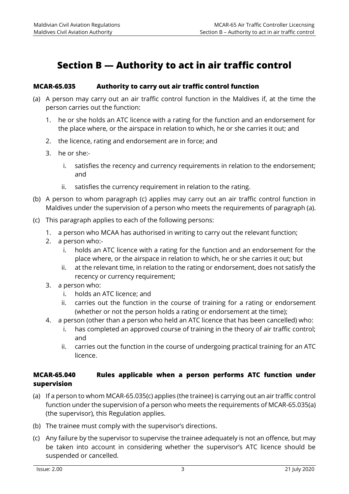# <span id="page-9-0"></span>**Section B — Authority to act in air traffic control**

#### <span id="page-9-1"></span>**MCAR-65.035 Authority to carry out air traffic control function**

- (a) A person may carry out an air traffic control function in the Maldives if, at the time the person carries out the function:
	- 1. he or she holds an ATC licence with a rating for the function and an endorsement for the place where, or the airspace in relation to which, he or she carries it out; and
	- 2. the licence, rating and endorsement are in force; and
	- 3. he or she:
		- i. satisfies the recency and currency requirements in relation to the endorsement; and
		- ii. satisfies the currency requirement in relation to the rating.
- (b) A person to whom paragraph (c) applies may carry out an air traffic control function in Maldives under the supervision of a person who meets the requirements of paragraph (a).
- (c) This paragraph applies to each of the following persons:
	- 1. a person who MCAA has authorised in writing to carry out the relevant function;
	- 2. a person who:
		- i. holds an ATC licence with a rating for the function and an endorsement for the place where, or the airspace in relation to which, he or she carries it out; but
		- ii. at the relevant time, in relation to the rating or endorsement, does not satisfy the recency or currency requirement;
	- 3. a person who:
		- i. holds an ATC licence; and
		- ii. carries out the function in the course of training for a rating or endorsement (whether or not the person holds a rating or endorsement at the time);
	- 4. a person (other than a person who held an ATC licence that has been cancelled) who:
		- i. has completed an approved course of training in the theory of air traffic control; and
		- ii. carries out the function in the course of undergoing practical training for an ATC licence.

### <span id="page-9-2"></span>**MCAR-65.040 Rules applicable when a person performs ATC function under supervision**

- (a) If a person to whom MCAR-65.035(c) applies (the trainee) is carrying out an air traffic control function under the supervision of a person who meets the requirements of MCAR-65.035(a) (the supervisor), this Regulation applies.
- (b) The trainee must comply with the supervisor's directions.
- (c) Any failure by the supervisor to supervise the trainee adequately is not an offence, but may be taken into account in considering whether the supervisor's ATC licence should be suspended or cancelled.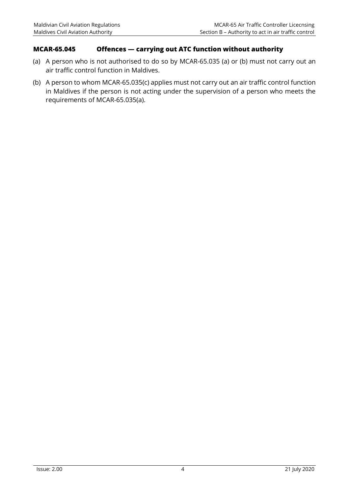#### <span id="page-10-0"></span>**MCAR-65.045 Offences — carrying out ATC function without authority**

- (a) A person who is not authorised to do so by MCAR-65.035 (a) or (b) must not carry out an air traffic control function in Maldives.
- (b) A person to whom MCAR-65.035(c) applies must not carry out an air traffic control function in Maldives if the person is not acting under the supervision of a person who meets the requirements of MCAR-65.035(a).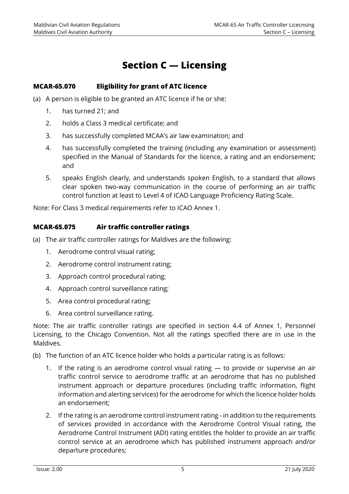# **Section C — Licensing**

#### <span id="page-11-1"></span><span id="page-11-0"></span>**MCAR-65.070 Eligibility for grant of ATC licence**

(a) A person is eligible to be granted an ATC licence if he or she:

- 1. has turned 21; and
- 2. holds a Class 3 medical certificate; and
- 3. has successfully completed MCAA's air law examination; and
- 4. has successfully completed the training (including any examination or assessment) specified in the Manual of Standards for the licence, a rating and an endorsement; and
- 5. speaks English clearly, and understands spoken English, to a standard that allows clear spoken two-way communication in the course of performing an air traffic control function at least to Level 4 of ICAO Language Proficiency Rating Scale.

Note: For Class 3 medical requirements refer to ICAO Annex 1.

#### <span id="page-11-2"></span>**MCAR-65.075 Air traffic controller ratings**

(a) The air traffic controller ratings for Maldives are the following:

- 1. Aerodrome control visual rating;
- 2. Aerodrome control instrument rating;
- 3. Approach control procedural rating;
- 4. Approach control surveillance rating;
- 5. Area control procedural rating;
- 6. Area control surveillance rating.

Note: The air traffic controller ratings are specified in section 4.4 of Annex 1, Personnel Licensing, to the Chicago Convention. Not all the ratings specified there are in use in the Maldives.

- (b) The function of an ATC licence holder who holds a particular rating is as follows:
	- 1. If the rating is an aerodrome control visual rating to provide or supervise an air traffic control service to aerodrome traffic at an aerodrome that has no published instrument approach or departure procedures (including traffic information, flight information and alerting services) for the aerodrome for which the licence holder holds an endorsement;
	- 2. If the rating is an aerodrome control instrument rating in addition to the requirements of services provided in accordance with the Aerodrome Control Visual rating, the Aerodrome Control Instrument (ADI) rating entitles the holder to provide an air traffic control service at an aerodrome which has published instrument approach and/or departure procedures;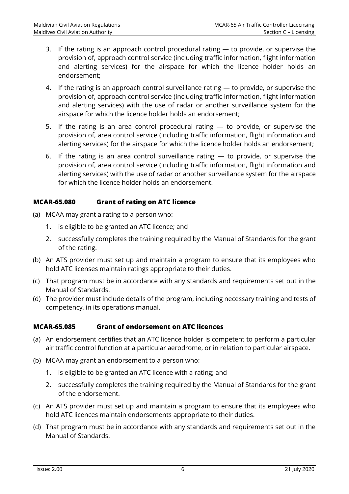- 3. If the rating is an approach control procedural rating to provide, or supervise the provision of, approach control service (including traffic information, flight information and alerting services) for the airspace for which the licence holder holds an endorsement;
- 4. If the rating is an approach control surveillance rating to provide, or supervise the provision of, approach control service (including traffic information, flight information and alerting services) with the use of radar or another surveillance system for the airspace for which the licence holder holds an endorsement;
- 5. If the rating is an area control procedural rating  $-$  to provide, or supervise the provision of, area control service (including traffic information, flight information and alerting services) for the airspace for which the licence holder holds an endorsement;
- 6. If the rating is an area control surveillance rating to provide, or supervise the provision of, area control service (including traffic information, flight information and alerting services) with the use of radar or another surveillance system for the airspace for which the licence holder holds an endorsement.

#### <span id="page-12-0"></span>**MCAR-65.080 Grant of rating on ATC licence**

- (a) MCAA may grant a rating to a person who:
	- 1. is eligible to be granted an ATC licence; and
	- 2. successfully completes the training required by the Manual of Standards for the grant of the rating.
- (b) An ATS provider must set up and maintain a program to ensure that its employees who hold ATC licenses maintain ratings appropriate to their duties.
- (c) That program must be in accordance with any standards and requirements set out in the Manual of Standards.
- (d) The provider must include details of the program, including necessary training and tests of competency, in its operations manual.

#### <span id="page-12-1"></span>**MCAR-65.085 Grant of endorsement on ATC licences**

- (a) An endorsement certifies that an ATC licence holder is competent to perform a particular air traffic control function at a particular aerodrome, or in relation to particular airspace.
- (b) MCAA may grant an endorsement to a person who:
	- 1. is eligible to be granted an ATC licence with a rating; and
	- 2. successfully completes the training required by the Manual of Standards for the grant of the endorsement.
- (c) An ATS provider must set up and maintain a program to ensure that its employees who hold ATC licences maintain endorsements appropriate to their duties.
- (d) That program must be in accordance with any standards and requirements set out in the Manual of Standards.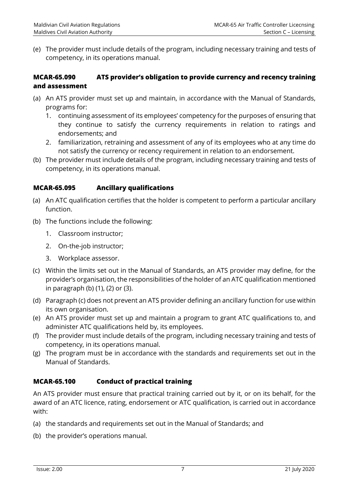(e) The provider must include details of the program, including necessary training and tests of competency, in its operations manual.

#### <span id="page-13-0"></span>**MCAR-65.090 ATS provider's obligation to provide currency and recency training and assessment**

- (a) An ATS provider must set up and maintain, in accordance with the Manual of Standards, programs for:
	- 1. continuing assessment of its employees' competency for the purposes of ensuring that they continue to satisfy the currency requirements in relation to ratings and endorsements; and
	- 2. familiarization, retraining and assessment of any of its employees who at any time do not satisfy the currency or recency requirement in relation to an endorsement.
- (b) The provider must include details of the program, including necessary training and tests of competency, in its operations manual.

### <span id="page-13-1"></span>**MCAR-65.095 Ancillary qualifications**

- (a) An ATC qualification certifies that the holder is competent to perform a particular ancillary function.
- (b) The functions include the following:
	- 1. Classroom instructor;
	- 2. On-the-job instructor;
	- 3. Workplace assessor.
- (c) Within the limits set out in the Manual of Standards, an ATS provider may define, for the provider's organisation, the responsibilities of the holder of an ATC qualification mentioned in paragraph (b) (1), (2) or (3).
- (d) Paragraph (c) does not prevent an ATS provider defining an ancillary function for use within its own organisation.
- (e) An ATS provider must set up and maintain a program to grant ATC qualifications to, and administer ATC qualifications held by, its employees.
- (f) The provider must include details of the program, including necessary training and tests of competency, in its operations manual.
- (g) The program must be in accordance with the standards and requirements set out in the Manual of Standards.

# <span id="page-13-2"></span>**MCAR-65.100 Conduct of practical training**

An ATS provider must ensure that practical training carried out by it, or on its behalf, for the award of an ATC licence, rating, endorsement or ATC qualification, is carried out in accordance with:

- (a) the standards and requirements set out in the Manual of Standards; and
- (b) the provider's operations manual.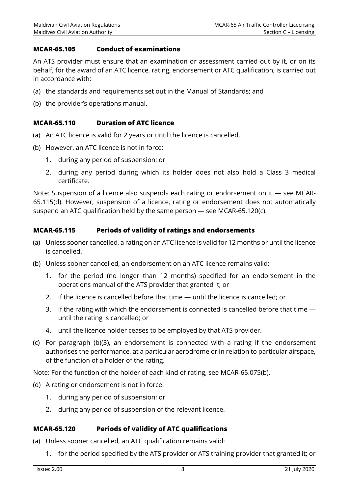#### <span id="page-14-0"></span>**MCAR-65.105 Conduct of examinations**

An ATS provider must ensure that an examination or assessment carried out by it, or on its behalf, for the award of an ATC licence, rating, endorsement or ATC qualification, is carried out in accordance with:

- (a) the standards and requirements set out in the Manual of Standards; and
- (b) the provider's operations manual.

#### <span id="page-14-1"></span>**MCAR-65.110 Duration of ATC licence**

- (a) An ATC licence is valid for 2 years or until the licence is cancelled.
- (b) However, an ATC licence is not in force:
	- 1. during any period of suspension; or
	- 2. during any period during which its holder does not also hold a Class 3 medical certificate.

Note: Suspension of a licence also suspends each rating or endorsement on it — see MCAR-65.115(d). However, suspension of a licence, rating or endorsement does not automatically suspend an ATC qualification held by the same person — see MCAR-65.120(c).

#### <span id="page-14-2"></span>**MCAR-65.115 Periods of validity of ratings and endorsements**

- (a) Unless sooner cancelled, a rating on an ATC licence is valid for 12 months or until the licence is cancelled.
- (b) Unless sooner cancelled, an endorsement on an ATC licence remains valid:
	- 1. for the period (no longer than 12 months) specified for an endorsement in the operations manual of the ATS provider that granted it; or
	- 2. if the licence is cancelled before that time until the licence is cancelled; or
	- 3. if the rating with which the endorsement is connected is cancelled before that time until the rating is cancelled; or
	- 4. until the licence holder ceases to be employed by that ATS provider.
- (c) For paragraph (b)(3), an endorsement is connected with a rating if the endorsement authorises the performance, at a particular aerodrome or in relation to particular airspace, of the function of a holder of the rating.

Note: For the function of the holder of each kind of rating, see MCAR-65.075(b).

- (d) A rating or endorsement is not in force:
	- 1. during any period of suspension; or
	- 2. during any period of suspension of the relevant licence.

#### <span id="page-14-3"></span>**MCAR-65.120 Periods of validity of ATC qualifications**

- (a) Unless sooner cancelled, an ATC qualification remains valid:
	- 1. for the period specified by the ATS provider or ATS training provider that granted it; or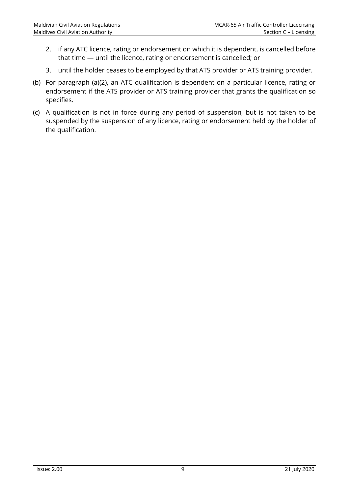- 2. if any ATC licence, rating or endorsement on which it is dependent, is cancelled before that time — until the licence, rating or endorsement is cancelled; or
- 3. until the holder ceases to be employed by that ATS provider or ATS training provider.
- (b) For paragraph (a)(2), an ATC qualification is dependent on a particular licence, rating or endorsement if the ATS provider or ATS training provider that grants the qualification so specifies.
- (c) A qualification is not in force during any period of suspension, but is not taken to be suspended by the suspension of any licence, rating or endorsement held by the holder of the qualification.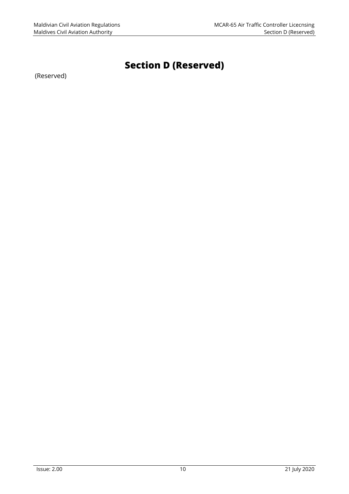# **Section D (Reserved)**

<span id="page-16-0"></span>(Reserved)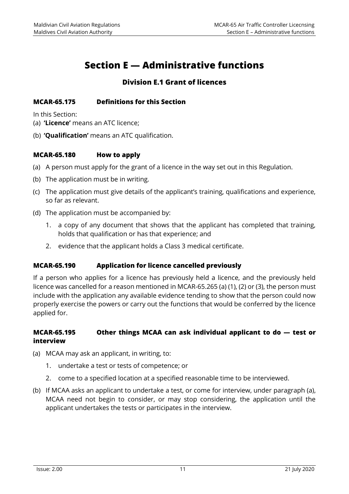# **Section E — Administrative functions**

# **Division E.1 Grant of licences**

#### <span id="page-17-2"></span><span id="page-17-1"></span><span id="page-17-0"></span>**MCAR-65.175 Definitions for this Section**

In this Section:

- (a) **'Licence'** means an ATC licence;
- (b) **'Qualification'** means an ATC qualification.

#### <span id="page-17-3"></span>**MCAR-65.180 How to apply**

- (a) A person must apply for the grant of a licence in the way set out in this Regulation.
- (b) The application must be in writing.
- (c) The application must give details of the applicant's training, qualifications and experience, so far as relevant.
- (d) The application must be accompanied by:
	- 1. a copy of any document that shows that the applicant has completed that training, holds that qualification or has that experience; and
	- 2. evidence that the applicant holds a Class 3 medical certificate.

#### <span id="page-17-4"></span>**MCAR-65.190 Application for licence cancelled previously**

If a person who applies for a licence has previously held a licence, and the previously held licence was cancelled for a reason mentioned in MCAR-65.265 (a) (1), (2) or (3), the person must include with the application any available evidence tending to show that the person could now properly exercise the powers or carry out the functions that would be conferred by the licence applied for.

#### <span id="page-17-5"></span>**MCAR-65.195 Other things MCAA can ask individual applicant to do — test or interview**

- (a) MCAA may ask an applicant, in writing, to:
	- 1. undertake a test or tests of competence; or
	- 2. come to a specified location at a specified reasonable time to be interviewed.
- (b) If MCAA asks an applicant to undertake a test, or come for interview, under paragraph (a), MCAA need not begin to consider, or may stop considering, the application until the applicant undertakes the tests or participates in the interview.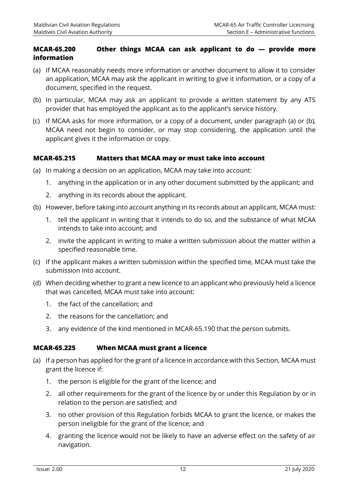### <span id="page-18-0"></span>**MCAR-65.200 Other things MCAA can ask applicant to do — provide more information**

- (a) If MCAA reasonably needs more information or another document to allow it to consider an application, MCAA may ask the applicant in writing to give it information, or a copy of a document, specified in the request.
- (b) In particular, MCAA may ask an applicant to provide a written statement by any ATS provider that has employed the applicant as to the applicant's service history.
- (c) If MCAA asks for more information, or a copy of a document, under paragraph (a) or (b), MCAA need not begin to consider, or may stop considering, the application until the applicant gives it the information or copy.

### <span id="page-18-1"></span>**MCAR-65.215 Matters that MCAA may or must take into account**

- (a) In making a decision on an application, MCAA may take into account:
	- 1. anything in the application or in any other document submitted by the applicant; and
	- 2. anything in its records about the applicant.
- (b) However, before taking into account anything in its records about an applicant, MCAA must:
	- 1. tell the applicant in writing that it intends to do so, and the substance of what MCAA intends to take into account; and
	- 2. invite the applicant in writing to make a written submission about the matter within a specified reasonable time.
- (c) If the applicant makes a written submission within the specified time, MCAA must take the submission into account.
- (d) When deciding whether to grant a new licence to an applicant who previously held a licence that was cancelled, MCAA must take into account:
	- 1. the fact of the cancellation; and
	- 2. the reasons for the cancellation; and
	- 3. any evidence of the kind mentioned in MCAR-65.190 that the person submits.

#### <span id="page-18-2"></span>**MCAR-65.225 When MCAA must grant a licence**

- (a) If a person has applied for the grant of a licence in accordance with this Section, MCAA must grant the licence if:
	- 1. the person is eligible for the grant of the licence; and
	- 2. all other requirements for the grant of the licence by or under this Regulation by or in relation to the person are satisfied; and
	- 3. no other provision of this Regulation forbids MCAA to grant the licence, or makes the person ineligible for the grant of the licence; and
	- 4. granting the licence would not be likely to have an adverse effect on the safety of air navigation.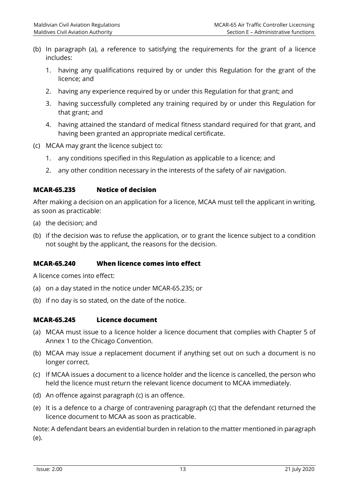- (b) In paragraph (a), a reference to satisfying the requirements for the grant of a licence includes:
	- 1. having any qualifications required by or under this Regulation for the grant of the licence; and
	- 2. having any experience required by or under this Regulation for that grant; and
	- 3. having successfully completed any training required by or under this Regulation for that grant; and
	- 4. having attained the standard of medical fitness standard required for that grant, and having been granted an appropriate medical certificate.
- (c) MCAA may grant the licence subject to:
	- 1. any conditions specified in this Regulation as applicable to a licence; and
	- 2. any other condition necessary in the interests of the safety of air navigation.

#### <span id="page-19-0"></span>**MCAR-65.235 Notice of decision**

After making a decision on an application for a licence, MCAA must tell the applicant in writing, as soon as practicable:

- (a) the decision; and
- (b) if the decision was to refuse the application, or to grant the licence subject to a condition not sought by the applicant, the reasons for the decision.

#### <span id="page-19-1"></span>**MCAR-65.240 When licence comes into effect**

A licence comes into effect:

- (a) on a day stated in the notice under MCAR-65.235; or
- (b) if no day is so stated, on the date of the notice.

#### <span id="page-19-2"></span>**MCAR-65.245 Licence document**

- (a) MCAA must issue to a licence holder a licence document that complies with Chapter 5 of Annex 1 to the Chicago Convention.
- (b) MCAA may issue a replacement document if anything set out on such a document is no longer correct.
- (c) If MCAA issues a document to a licence holder and the licence is cancelled, the person who held the licence must return the relevant licence document to MCAA immediately.
- (d) An offence against paragraph (c) is an offence.
- (e) It is a defence to a charge of contravening paragraph (c) that the defendant returned the licence document to MCAA as soon as practicable.

Note: A defendant bears an evidential burden in relation to the matter mentioned in paragraph (e).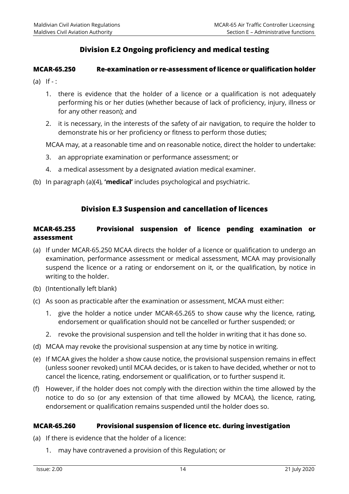# **Division E.2 Ongoing proficiency and medical testing**

#### <span id="page-20-1"></span><span id="page-20-0"></span>**MCAR-65.250 Re-examination or re-assessment of licence or qualification holder**

- $(a)$  If  $-$  :
	- 1. there is evidence that the holder of a licence or a qualification is not adequately performing his or her duties (whether because of lack of proficiency, injury, illness or for any other reason); and
	- 2. it is necessary, in the interests of the safety of air navigation, to require the holder to demonstrate his or her proficiency or fitness to perform those duties;

MCAA may, at a reasonable time and on reasonable notice, direct the holder to undertake:

- 3. an appropriate examination or performance assessment; or
- 4. a medical assessment by a designated aviation medical examiner.
- (b) In paragraph (a)(4), **'medical'** includes psychological and psychiatric.

#### **Division E.3 Suspension and cancellation of licences**

#### <span id="page-20-3"></span><span id="page-20-2"></span>**MCAR-65.255 Provisional suspension of licence pending examination or assessment**

- (a) If under MCAR-65.250 MCAA directs the holder of a licence or qualification to undergo an examination, performance assessment or medical assessment, MCAA may provisionally suspend the licence or a rating or endorsement on it, or the qualification, by notice in writing to the holder.
- (b) (Intentionally left blank)
- (c) As soon as practicable after the examination or assessment, MCAA must either:
	- 1. give the holder a notice under MCAR-65.265 to show cause why the licence, rating, endorsement or qualification should not be cancelled or further suspended; or
	- 2. revoke the provisional suspension and tell the holder in writing that it has done so.
- (d) MCAA may revoke the provisional suspension at any time by notice in writing.
- (e) If MCAA gives the holder a show cause notice, the provisional suspension remains in effect (unless sooner revoked) until MCAA decides, or is taken to have decided, whether or not to cancel the licence, rating, endorsement or qualification, or to further suspend it.
- (f) However, if the holder does not comply with the direction within the time allowed by the notice to do so (or any extension of that time allowed by MCAA), the licence, rating, endorsement or qualification remains suspended until the holder does so.

#### <span id="page-20-4"></span>**MCAR-65.260 Provisional suspension of licence etc. during investigation**

- (a) If there is evidence that the holder of a licence:
	- 1. may have contravened a provision of this Regulation; or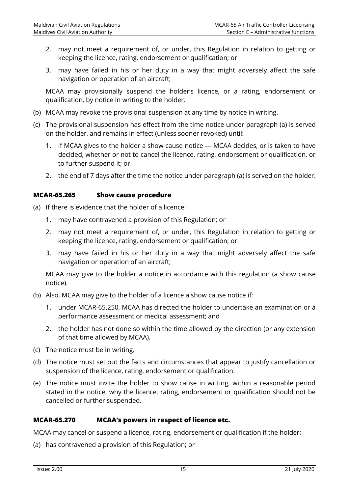- 2. may not meet a requirement of, or under, this Regulation in relation to getting or keeping the licence, rating, endorsement or qualification; or
- 3. may have failed in his or her duty in a way that might adversely affect the safe navigation or operation of an aircraft;

MCAA may provisionally suspend the holder's licence, or a rating, endorsement or qualification, by notice in writing to the holder.

- (b) MCAA may revoke the provisional suspension at any time by notice in writing.
- (c) The provisional suspension has effect from the time notice under paragraph (a) is served on the holder, and remains in effect (unless sooner revoked) until:
	- 1. if MCAA gives to the holder a show cause notice MCAA decides, or is taken to have decided, whether or not to cancel the licence, rating, endorsement or qualification, or to further suspend it; or
	- 2. the end of 7 days after the time the notice under paragraph (a) is served on the holder.

#### <span id="page-21-0"></span>**MCAR-65.265 Show cause procedure**

- (a) If there is evidence that the holder of a licence:
	- 1. may have contravened a provision of this Regulation; or
	- 2. may not meet a requirement of, or under, this Regulation in relation to getting or keeping the licence, rating, endorsement or qualification; or
	- 3. may have failed in his or her duty in a way that might adversely affect the safe navigation or operation of an aircraft;

MCAA may give to the holder a notice in accordance with this regulation (a show cause notice).

- (b) Also, MCAA may give to the holder of a licence a show cause notice if:
	- 1. under MCAR-65.250, MCAA has directed the holder to undertake an examination or a performance assessment or medical assessment; and
	- 2. the holder has not done so within the time allowed by the direction (or any extension of that time allowed by MCAA).
- (c) The notice must be in writing.
- (d) The notice must set out the facts and circumstances that appear to justify cancellation or suspension of the licence, rating, endorsement or qualification.
- (e) The notice must invite the holder to show cause in writing, within a reasonable period stated in the notice, why the licence, rating, endorsement or qualification should not be cancelled or further suspended.

#### <span id="page-21-1"></span>**MCAR-65.270 MCAA's powers in respect of licence etc.**

MCAA may cancel or suspend a licence, rating, endorsement or qualification if the holder:

(a) has contravened a provision of this Regulation; or